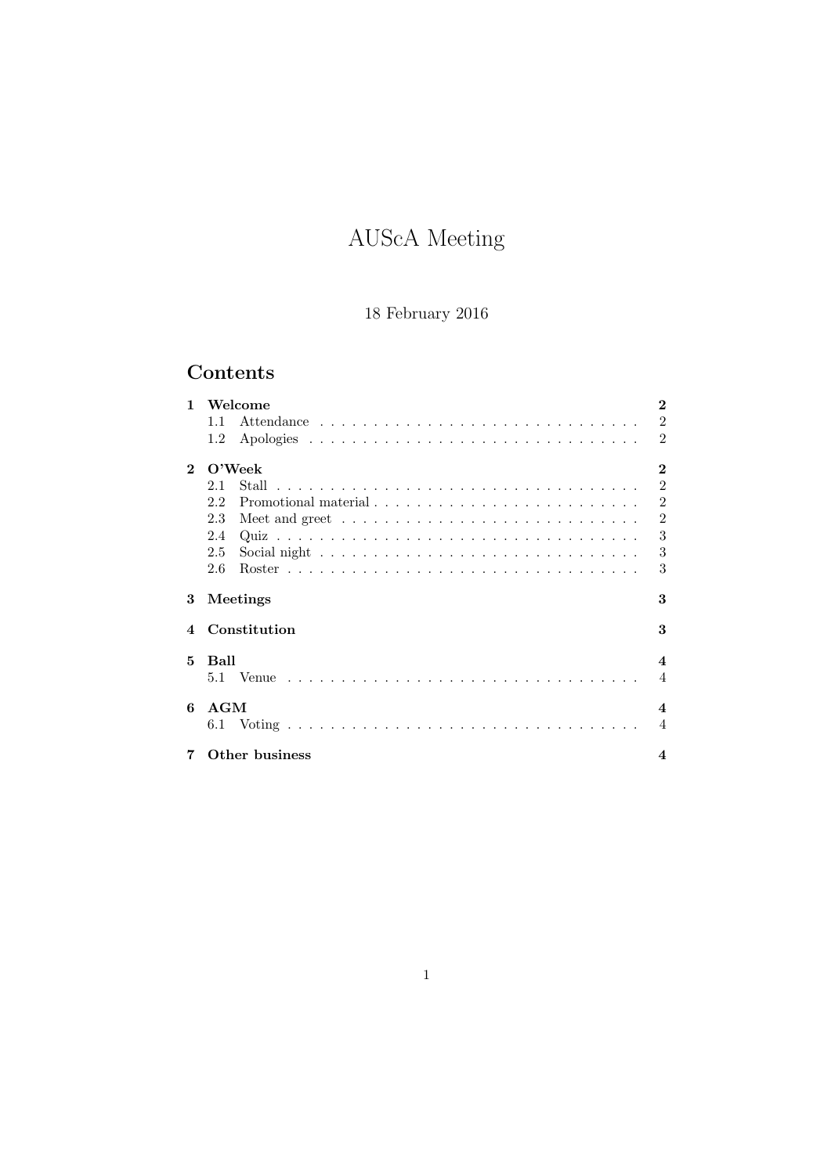# AUScA Meeting

# 18 February 2016

# Contents

| 1            | Welcome               |                                                                                        |                          |  |
|--------------|-----------------------|----------------------------------------------------------------------------------------|--------------------------|--|
|              | 1.1                   |                                                                                        | $\overline{2}$           |  |
|              | $1.2^{\circ}$         |                                                                                        | $\overline{2}$           |  |
| $\mathbf{2}$ | $O'$ Week<br>$\bf{2}$ |                                                                                        |                          |  |
|              | 2.1                   | Stall                                                                                  | $\mathfrak{D}$           |  |
|              | 2.2                   |                                                                                        | $\overline{2}$           |  |
|              | 2.3                   | Meet and greet $\dots \dots \dots \dots \dots \dots \dots \dots \dots \dots \dots$     | $\overline{2}$           |  |
|              | 2.4                   |                                                                                        | 3                        |  |
|              | 2.5                   | Social night $\dots \dots \dots \dots \dots \dots \dots \dots \dots \dots \dots \dots$ | 3                        |  |
|              | 2.6                   |                                                                                        | 3                        |  |
| 3            |                       | Meetings                                                                               | 3                        |  |
| 4            |                       | Constitution                                                                           | 3                        |  |
| 5            | Ball                  |                                                                                        | $\boldsymbol{\Lambda}$   |  |
|              |                       |                                                                                        | $\overline{\mathcal{A}}$ |  |
| 6            | AGM                   |                                                                                        | $\boldsymbol{\Lambda}$   |  |
|              |                       |                                                                                        | $\overline{4}$           |  |
|              |                       |                                                                                        |                          |  |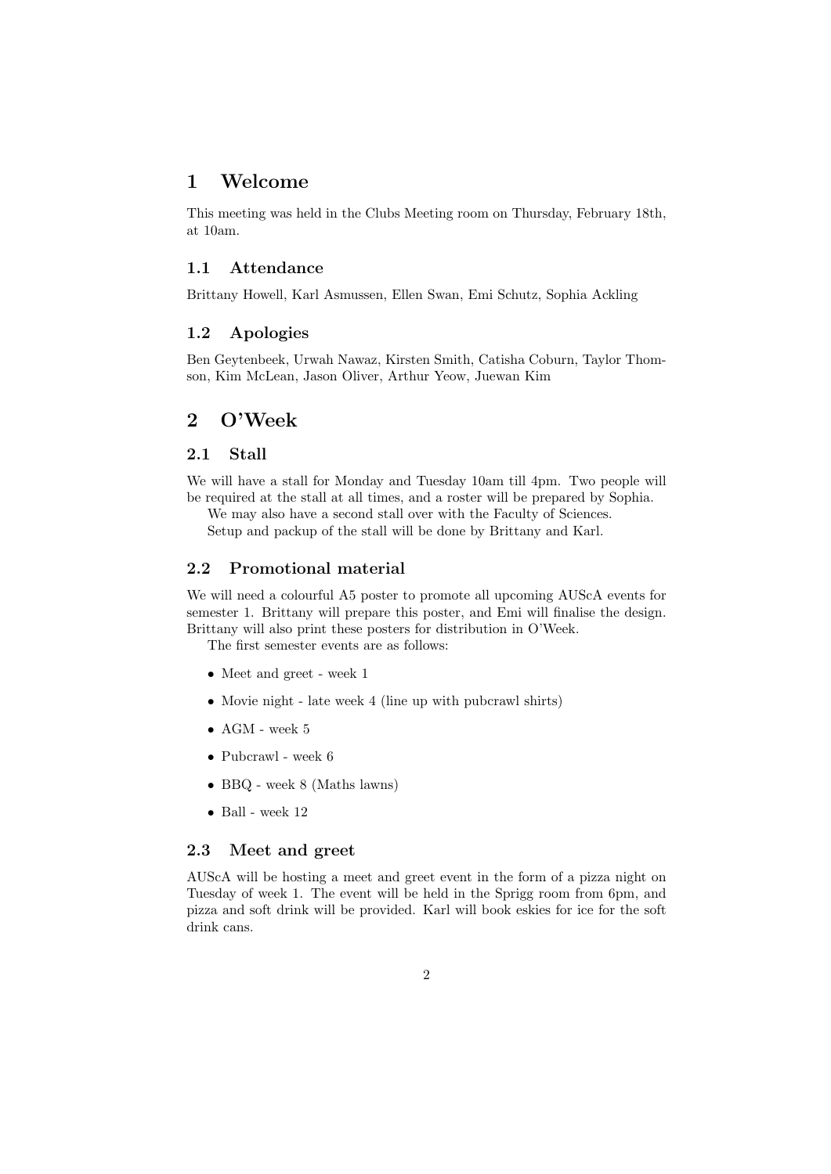# 1 Welcome

This meeting was held in the Clubs Meeting room on Thursday, February 18th, at 10am.

#### 1.1 Attendance

Brittany Howell, Karl Asmussen, Ellen Swan, Emi Schutz, Sophia Ackling

#### 1.2 Apologies

Ben Geytenbeek, Urwah Nawaz, Kirsten Smith, Catisha Coburn, Taylor Thomson, Kim McLean, Jason Oliver, Arthur Yeow, Juewan Kim

# 2 O'Week

### 2.1 Stall

We will have a stall for Monday and Tuesday 10am till 4pm. Two people will be required at the stall at all times, and a roster will be prepared by Sophia.

We may also have a second stall over with the Faculty of Sciences. Setup and packup of the stall will be done by Brittany and Karl.

#### 2.2 Promotional material

We will need a colourful A5 poster to promote all upcoming AUScA events for semester 1. Brittany will prepare this poster, and Emi will finalise the design. Brittany will also print these posters for distribution in O'Week.

The first semester events are as follows:

- Meet and greet week 1
- Movie night late week 4 (line up with pubcrawl shirts)
- $\bullet$  AGM week 5
- Pubcrawl week 6
- BBQ week 8 (Maths lawns)
- $\bullet$  Ball week 12

#### 2.3 Meet and greet

AUScA will be hosting a meet and greet event in the form of a pizza night on Tuesday of week 1. The event will be held in the Sprigg room from 6pm, and pizza and soft drink will be provided. Karl will book eskies for ice for the soft drink cans.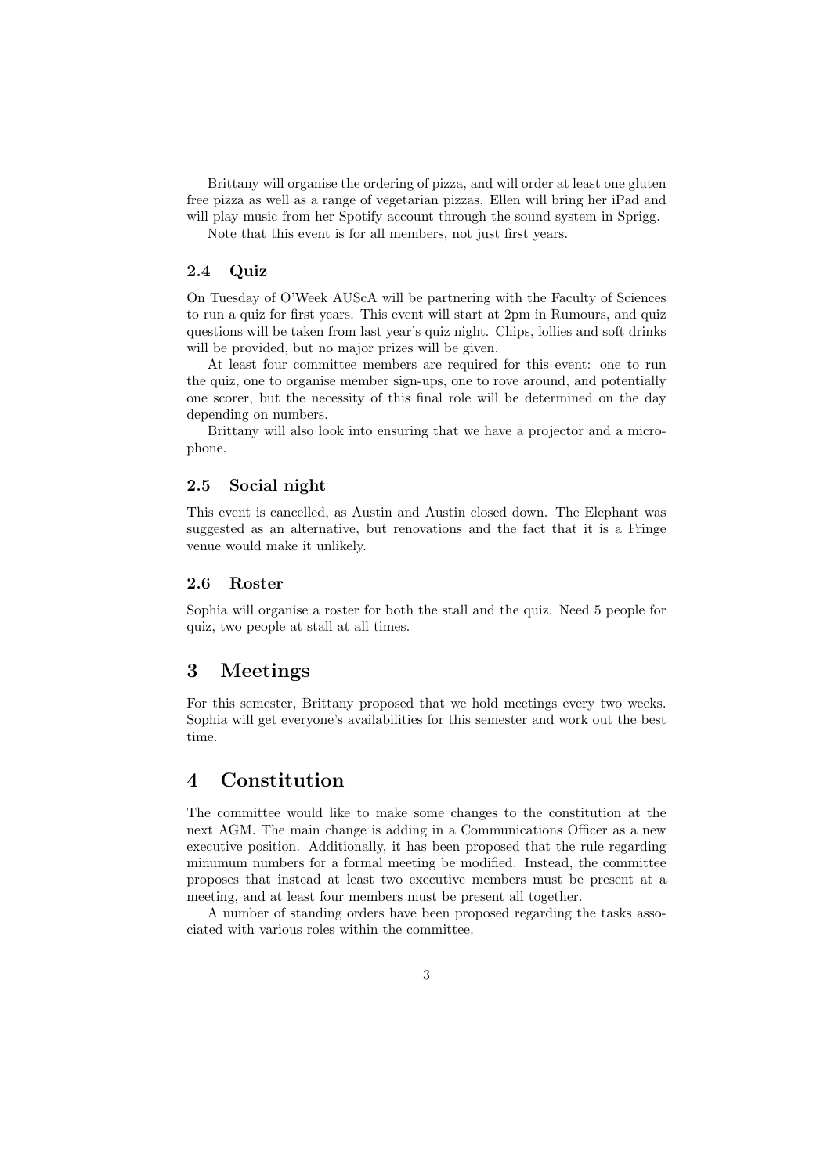Brittany will organise the ordering of pizza, and will order at least one gluten free pizza as well as a range of vegetarian pizzas. Ellen will bring her iPad and will play music from her Spotify account through the sound system in Sprigg.

Note that this event is for all members, not just first years.

#### 2.4 Quiz

On Tuesday of O'Week AUScA will be partnering with the Faculty of Sciences to run a quiz for first years. This event will start at 2pm in Rumours, and quiz questions will be taken from last year's quiz night. Chips, lollies and soft drinks will be provided, but no major prizes will be given.

At least four committee members are required for this event: one to run the quiz, one to organise member sign-ups, one to rove around, and potentially one scorer, but the necessity of this final role will be determined on the day depending on numbers.

Brittany will also look into ensuring that we have a projector and a microphone.

#### 2.5 Social night

This event is cancelled, as Austin and Austin closed down. The Elephant was suggested as an alternative, but renovations and the fact that it is a Fringe venue would make it unlikely.

#### 2.6 Roster

Sophia will organise a roster for both the stall and the quiz. Need 5 people for quiz, two people at stall at all times.

# 3 Meetings

For this semester, Brittany proposed that we hold meetings every two weeks. Sophia will get everyone's availabilities for this semester and work out the best time.

# 4 Constitution

The committee would like to make some changes to the constitution at the next AGM. The main change is adding in a Communications Officer as a new executive position. Additionally, it has been proposed that the rule regarding minumum numbers for a formal meeting be modified. Instead, the committee proposes that instead at least two executive members must be present at a meeting, and at least four members must be present all together.

A number of standing orders have been proposed regarding the tasks associated with various roles within the committee.